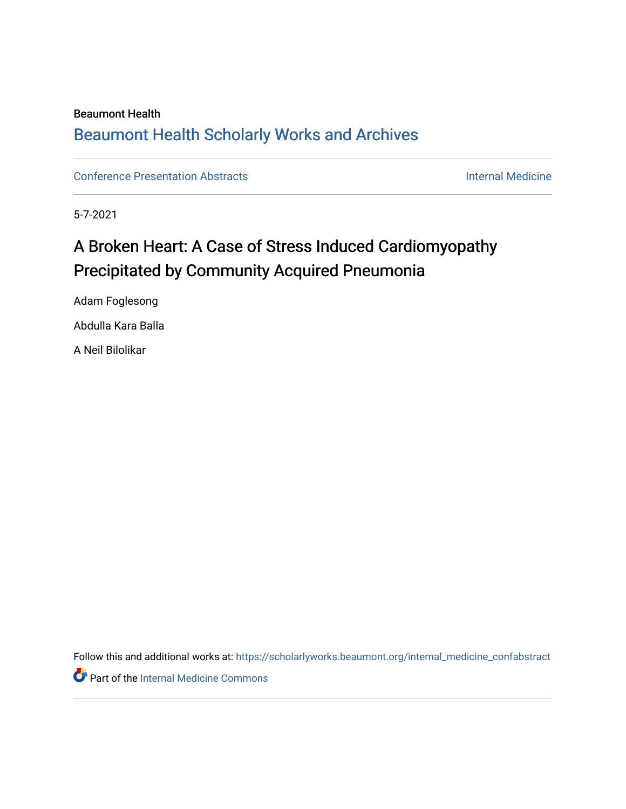## Beaumont Health [Beaumont Health Scholarly Works and Archives](https://scholarlyworks.beaumont.org/)

[Conference Presentation Abstracts](https://scholarlyworks.beaumont.org/internal_medicine_confabstract) **Internal Medicine** 

5-7-2021

## A Broken Heart: A Case of Stress Induced Cardiomyopathy Precipitated by Community Acquired Pneumonia

Adam Foglesong Abdulla Kara Balla A Neil Bilolikar

Follow this and additional works at: [https://scholarlyworks.beaumont.org/internal\\_medicine\\_confabstract](https://scholarlyworks.beaumont.org/internal_medicine_confabstract?utm_source=scholarlyworks.beaumont.org%2Finternal_medicine_confabstract%2F62&utm_medium=PDF&utm_campaign=PDFCoverPages) 

**Part of the [Internal Medicine Commons](http://network.bepress.com/hgg/discipline/1356?utm_source=scholarlyworks.beaumont.org%2Finternal_medicine_confabstract%2F62&utm_medium=PDF&utm_campaign=PDFCoverPages)**